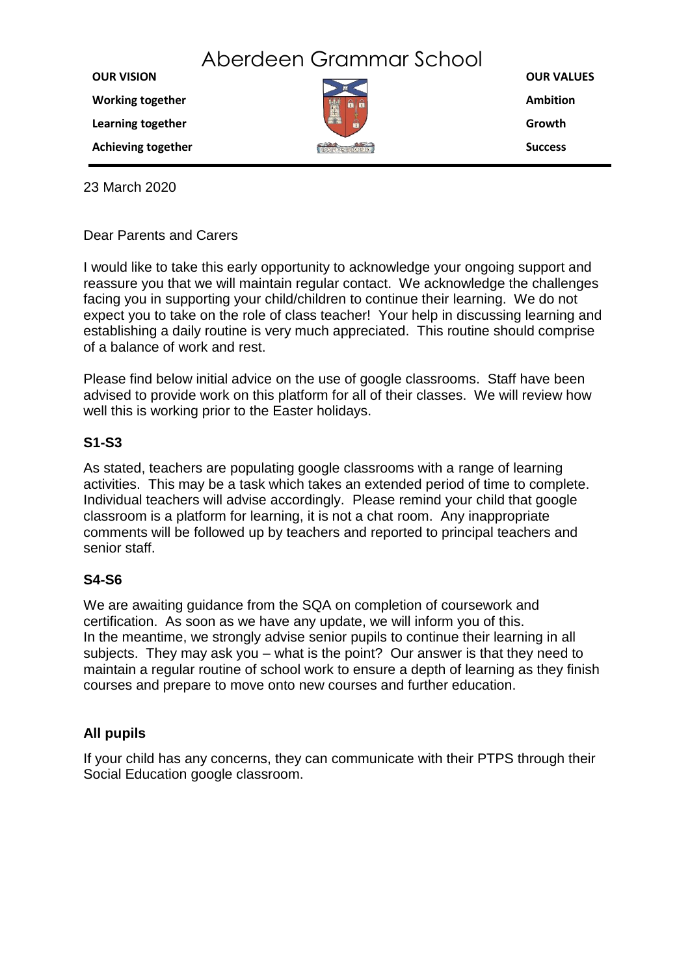**OUR VALUES Ambition Growth Success OUR VISION Working together Learning together Achieving together** Aberdeen Grammar School

23 March 2020

## Dear Parents and Carers

I would like to take this early opportunity to acknowledge your ongoing support and reassure you that we will maintain regular contact. We acknowledge the challenges facing you in supporting your child/children to continue their learning. We do not expect you to take on the role of class teacher! Your help in discussing learning and establishing a daily routine is very much appreciated. This routine should comprise of a balance of work and rest.

Please find below initial advice on the use of google classrooms. Staff have been advised to provide work on this platform for all of their classes. We will review how well this is working prior to the Easter holidays.

## **S1-S3**

As stated, teachers are populating google classrooms with a range of learning activities. This may be a task which takes an extended period of time to complete. Individual teachers will advise accordingly. Please remind your child that google classroom is a platform for learning, it is not a chat room. Any inappropriate comments will be followed up by teachers and reported to principal teachers and senior staff.

## **S4-S6**

We are awaiting guidance from the SQA on completion of coursework and certification. As soon as we have any update, we will inform you of this. In the meantime, we strongly advise senior pupils to continue their learning in all subjects. They may ask you – what is the point? Our answer is that they need to maintain a regular routine of school work to ensure a depth of learning as they finish courses and prepare to move onto new courses and further education.

## **All pupils**

If your child has any concerns, they can communicate with their PTPS through their Social Education google classroom.